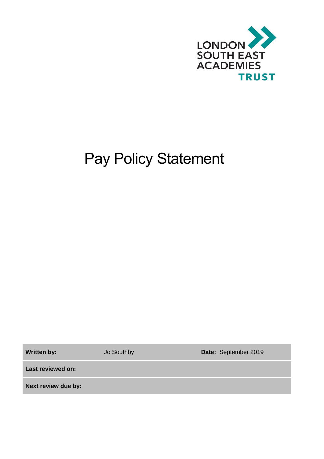

# Pay Policy Statement

**Written by:** Jo Southby **Date:** September 2019

**Last reviewed on:**

**Next review due by:**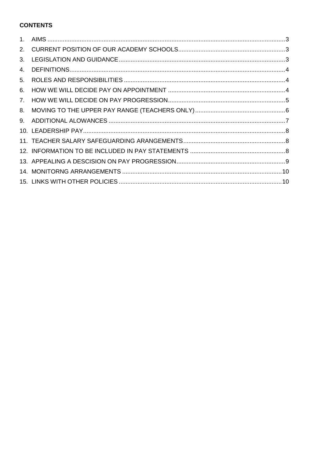## **CONTENTS**

| $1_{-}$ |  |
|---------|--|
| 2.      |  |
| 3.      |  |
| 4.      |  |
| 5.      |  |
| 6.      |  |
| 7.      |  |
| 8.      |  |
| 9.      |  |
|         |  |
|         |  |
|         |  |
|         |  |
|         |  |
|         |  |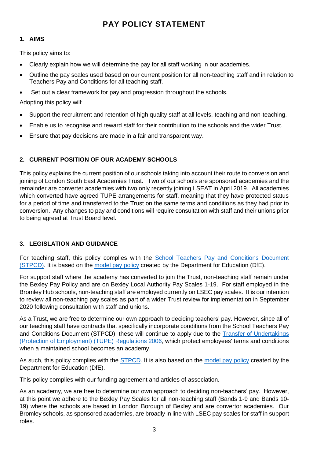## **PAY POLICY STATEMENT**

## <span id="page-2-0"></span>**1. AIMS**

This policy aims to:

- Clearly explain how we will determine the pay for all staff working in our academies.
- Outline the pay scales used based on our current position for all non-teaching staff and in relation to Teachers Pay and Conditions for all teaching staff.
- Set out a clear framework for pay and progression throughout the schools.

Adopting this policy will:

- Support the recruitment and retention of high quality staff at all levels, teaching and non-teaching.
- Enable us to recognise and reward staff for their contribution to the schools and the wider Trust.
- Ensure that pay decisions are made in a fair and transparent way.

## <span id="page-2-1"></span>**2. CURRENT POSITION OF OUR ACADEMY SCHOOLS**

This policy explains the current position of our schools taking into account their route to conversion and joining of London South East Academies Trust. Two of our schools are sponsored academies and the remainder are converter academies with two only recently joining LSEAT in April 2019. All academies which converted have agreed TUPE arrangements for staff, meaning that they have protected status for a period of time and transferred to the Trust on the same terms and conditions as they had prior to conversion. Any changes to pay and conditions will require consultation with staff and their unions prior to being agreed at Trust Board level.

## <span id="page-2-2"></span>**3. LEGISLATION AND GUIDANCE**

For teaching staff, this policy complies with the [School Teachers Pay and Conditions Document](https://www.gov.uk/government/publications/school-teachers-pay-and-conditions)  [\(STPCD\).](https://www.gov.uk/government/publications/school-teachers-pay-and-conditions) It is based on the [model pay policy](https://www.gov.uk/government/publications/reviewing-and-revising-school-teachers-pay) created by the Department for Education (DfE).

For support staff where the academy has converted to join the Trust, non-teaching staff remain under the Bexley Pay Policy and are on Bexley Local Authority Pay Scales 1-19. For staff employed in the Bromley Hub schools, non-teaching staff are employed currently on LSEC pay scales. It is our intention to review all non-teaching pay scales as part of a wider Trust review for implementation in September 2020 following consultation with staff and unions.

As a Trust, we are free to determine our own approach to deciding teachers' pay. However, since all of our teaching staff have contracts that specifically incorporate conditions from the School Teachers Pay and Conditions Document (STPCD), these will continue to apply due to the [Transfer of Undertakings](http://www.legislation.gov.uk/uksi/2006/246/contents/made)  [\(Protection of Employment\) \(TUPE\) Regulations 2006,](http://www.legislation.gov.uk/uksi/2006/246/contents/made) which protect employees' terms and conditions when a maintained school becomes an academy.

As such, this policy complies with the **STPCD**. It is also based on the [model pay policy](https://www.gov.uk/government/publications/reviewing-and-revising-school-teachers-pay) created by the Department for Education (DfE).

This policy complies with our funding agreement and articles of association.

As an academy, we are free to determine our own approach to deciding non-teachers' pay. However, at this point we adhere to the Bexley Pay Scales for all non-teaching staff (Bands 1-9 and Bands 10- 19) where the schools are based in London Borough of Bexley and are convertor academies. Our Bromley schools, as sponsored academies, are broadly in line with LSEC pay scales for staff in support roles.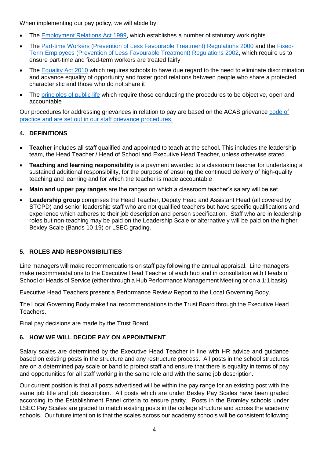When implementing our pay policy, we will abide by:

- The [Employment Relations Act 1999,](http://www.legislation.gov.uk/ukpga/1999/26/contents) which establishes a number of statutory work rights
- The [Part-time Workers \(Prevention of Less Favourable Treatment\) Regulations 2000](http://www.legislation.gov.uk/uksi/2000/1551/contents/made) and the [Fixed-](http://www.legislation.gov.uk/uksi/2002/2034/contents)[Term Employees \(Prevention of Less Favourable Treatment\) Regulations 2002,](http://www.legislation.gov.uk/uksi/2002/2034/contents) which require us to ensure part-time and fixed-term workers are treated fairly
- The [Equality Act 2010](http://www.legislation.gov.uk/ukpga/2010/15/contents?) which requires schools to have due regard to the need to eliminate discrimination and advance equality of opportunity and foster good relations between people who share a protected characteristic and those who do not share it
- The [principles of public life](https://www.gov.uk/government/publications/the-7-principles-of-public-life/the-7-principles-of-public-life--2) which require those conducting the procedures to be objective, open and accountable

Our procedures for addressing grievances in relation to pay are based on the ACAS grievance [code of](http://www.acas.org.uk/media/pdf/f/m/Acas-Code-of-Practice-1-on-disciplinary-and-grievance-procedures.pdf)  [practice](http://www.acas.org.uk/media/pdf/f/m/Acas-Code-of-Practice-1-on-disciplinary-and-grievance-procedures.pdf) and are set out in our staff grievance procedures.

#### <span id="page-3-0"></span>**4. DEFINITIONS**

- **Teacher** includes all staff qualified and appointed to teach at the school. This includes the leadership team, the Head Teacher / Head of School and Executive Head Teacher, unless otherwise stated.
- **Teaching and learning responsibility** is a payment awarded to a classroom teacher for undertaking a sustained additional responsibility, for the purpose of ensuring the continued delivery of high-quality teaching and learning and for which the teacher is made accountable
- **Main and upper pay ranges** are the ranges on which a classroom teacher's salary will be set
- **Leadership group** comprises the Head Teacher, Deputy Head and Assistant Head (all covered by STCPD) and senior leadership staff who are not qualified teachers but have specific qualifications and experience which adheres to their job description and person specification. Staff who are in leadership roles but non-teaching may be paid on the Leadership Scale or alternatively will be paid on the higher Bexley Scale (Bands 10-19) or LSEC grading.

#### <span id="page-3-1"></span>**5. ROLES AND RESPONSIBILITIES**

Line managers will make recommendations on staff pay following the annual appraisal. Line managers make recommendations to the Executive Head Teacher of each hub and in consultation with Heads of School or Heads of Service (either through a Hub Performance Management Meeting or on a 1:1 basis).

Executive Head Teachers present a Performance Review Report to the Local Governing Body.

The Local Governing Body make final recommendations to the Trust Board through the Executive Head Teachers.

Final pay decisions are made by the Trust Board.

#### <span id="page-3-2"></span>**6. HOW WE WILL DECIDE PAY ON APPOINTMENT**

Salary scales are determined by the Executive Head Teacher in line with HR advice and guidance based on existing posts in the structure and any restructure process. All posts in the school structures are on a determined pay scale or band to protect staff and ensure that there is equality in terms of pay and opportunities for all staff working in the same role and with the same job description.

Our current position is that all posts advertised will be within the pay range for an existing post with the same job title and job description. All posts which are under Bexley Pay Scales have been graded according to the Establishment Panel criteria to ensure parity. Posts in the Bromley schools under LSEC Pay Scales are graded to match existing posts in the college structure and across the academy schools. Our future intention is that the scales across our academy schools will be consistent following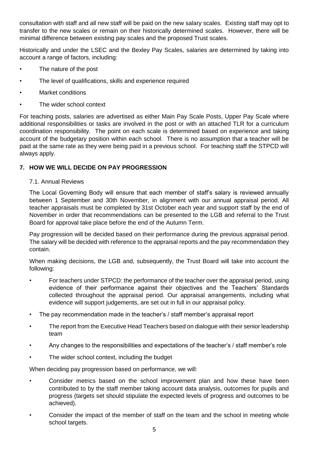consultation with staff and all new staff will be paid on the new salary scales. Existing staff may opt to transfer to the new scales or remain on their historically determined scales. However, there will be minimal difference between existing pay scales and the proposed Trust scales.

Historically and under the LSEC and the Bexley Pay Scales, salaries are determined by taking into account a range of factors, including:

- The nature of the post
- The level of qualifications, skills and experience required
- Market conditions
- The wider school context

For teaching posts, salaries are advertised as either Main Pay Scale Posts, Upper Pay Scale where additional responsibilities or tasks are involved in the post or with an attached TLR for a curriculum coordination responsibility. The point on each scale is determined based on experience and taking account of the budgetary position within each school. There is no assumption that a teacher will be paid at the same rate as they were being paid in a previous school. For teaching staff the STPCD will always apply.

#### <span id="page-4-0"></span>**7. HOW WE WILL DECIDE ON PAY PROGRESSION**

#### 7.1. Annual Reviews

The Local Governing Body will ensure that each member of staff's salary is reviewed annually between 1 September and 30th November, in alignment with our annual appraisal period. All teacher appraisals must be completed by 31st October each year and support staff by the end of November in order that recommendations can be presented to the LGB and referral to the Trust Board for approval take place before the end of the Autumn Term.

Pay progression will be decided based on their performance during the previous appraisal period. The salary will be decided with reference to the appraisal reports and the pay recommendation they contain.

When making decisions, the LGB and, subsequently, the Trust Board will take into account the following:

- For teachers under STPCD: the performance of the teacher over the appraisal period, using evidence of their performance against their objectives and the Teachers' Standards collected throughout the appraisal period. Our appraisal arrangements, including what evidence will support judgements, are set out in full in our appraisal policy.
- The pay recommendation made in the teacher's / staff member's appraisal report
- The report from the Executive Head Teachers based on dialogue with their senior leadership team
- Any changes to the responsibilities and expectations of the teacher's / staff member's role
- The wider school context, including the budget

When deciding pay progression based on performance, we will:

- Consider metrics based on the school improvement plan and how these have been contributed to by the staff member taking account data analysis, outcomes for pupils and progress (targets set should stipulate the expected levels of progress and outcomes to be achieved).
- Consider the impact of the member of staff on the team and the school in meeting whole school targets.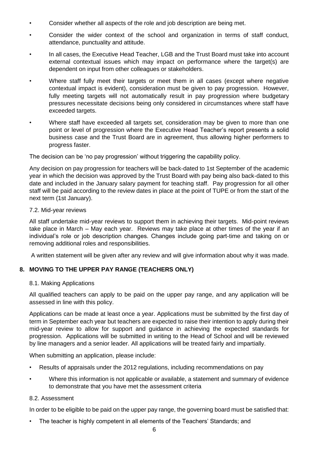- Consider whether all aspects of the role and job description are being met.
- Consider the wider context of the school and organization in terms of staff conduct, attendance, punctuality and attitude.
- In all cases, the Executive Head Teacher, LGB and the Trust Board must take into account external contextual issues which may impact on performance where the target(s) are dependent on input from other colleagues or stakeholders.
- Where staff fully meet their targets or meet them in all cases (except where negative contextual impact is evident), consideration must be given to pay progression. However, fully meeting targets will not automatically result in pay progression where budgetary pressures necessitate decisions being only considered in circumstances where staff have exceeded targets.
- Where staff have exceeded all targets set, consideration may be given to more than one point or level of progression where the Executive Head Teacher's report presents a solid business case and the Trust Board are in agreement, thus allowing higher performers to progress faster.

The decision can be 'no pay progression' without triggering the capability policy.

Any decision on pay progression for teachers will be back-dated to 1st September of the academic year in which the decision was approved by the Trust Board with pay being also back-dated to this date and included in the January salary payment for teaching staff. Pay progression for all other staff will be paid according to the review dates in place at the point of TUPE or from the start of the next term (1st January).

#### 7.2. Mid-year reviews

All staff undertake mid-year reviews to support them in achieving their targets. Mid-point reviews take place in March – May each year. Reviews may take place at other times of the year if an individual's role or job description changes. Changes include going part-time and taking on or removing additional roles and responsibilities.

A written statement will be given after any review and will give information about why it was made.

#### <span id="page-5-0"></span>**8. MOVING TO THE UPPER PAY RANGE (TEACHERS ONLY)**

#### 8.1. Making Applications

All qualified teachers can apply to be paid on the upper pay range, and any application will be assessed in line with this policy.

Applications can be made at least once a year. Applications must be submitted by the first day of term in September each year but teachers are expected to raise their intention to apply during their mid-year review to allow for support and guidance in achieving the expected standards for progression. Applications will be submitted in writing to the Head of School and will be reviewed by line managers and a senior leader. All applications will be treated fairly and impartially.

When submitting an application, please include:

- Results of appraisals under the 2012 regulations, including recommendations on pay
- Where this information is not applicable or available, a statement and summary of evidence to demonstrate that you have met the assessment criteria

#### 8.2. Assessment

In order to be eligible to be paid on the upper pay range, the governing board must be satisfied that:

• The teacher is highly competent in all elements of the Teachers' Standards; and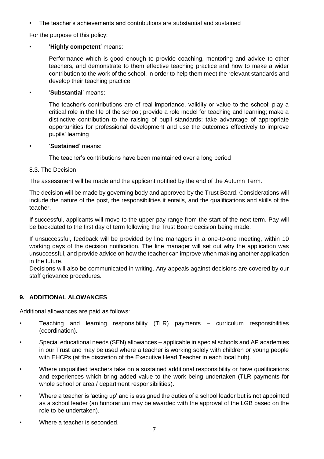• The teacher's achievements and contributions are substantial and sustained

For the purpose of this policy:

#### • '**Highly competent**' means:

Performance which is good enough to provide coaching, mentoring and advice to other teachers, and demonstrate to them effective teaching practice and how to make a wider contribution to the work of the school, in order to help them meet the relevant standards and develop their teaching practice

#### • '**Substantial**' means:

The teacher's contributions are of real importance, validity or value to the school; play a critical role in the life of the school; provide a role model for teaching and learning; make a distinctive contribution to the raising of pupil standards; take advantage of appropriate opportunities for professional development and use the outcomes effectively to improve pupils' learning

#### • '**Sustained**' means:

The teacher's contributions have been maintained over a long period

#### 8.3. The Decision

The assessment will be made and the applicant notified by the end of the Autumn Term.

The decision will be made by governing body and approved by the Trust Board. Considerations will include the nature of the post, the responsibilities it entails, and the qualifications and skills of the teacher.

If successful, applicants will move to the upper pay range from the start of the next term. Pay will be backdated to the first day of term following the Trust Board decision being made.

If unsuccessful, feedback will be provided by line managers in a one-to-one meeting, within 10 working days of the decision notification. The line manager will set out why the application was unsuccessful, and provide advice on how the teacher can improve when making another application in the future.

Decisions will also be communicated in writing. Any appeals against decisions are covered by our staff grievance procedures.

#### <span id="page-6-0"></span>**9. ADDITIONAL ALOWANCES**

Additional allowances are paid as follows:

- Teaching and learning responsibility (TLR) payments curriculum responsibilities (coordination).
- Special educational needs (SEN) allowances applicable in special schools and AP academies in our Trust and may be used where a teacher is working solely with children or young people with EHCPs (at the discretion of the Executive Head Teacher in each local hub).
- Where unqualified teachers take on a sustained additional responsibility or have qualifications and experiences which bring added value to the work being undertaken (TLR payments for whole school or area / department responsibilities).
- Where a teacher is 'acting up' and is assigned the duties of a school leader but is not appointed as a school leader (an honorarium may be awarded with the approval of the LGB based on the role to be undertaken).
- Where a teacher is seconded.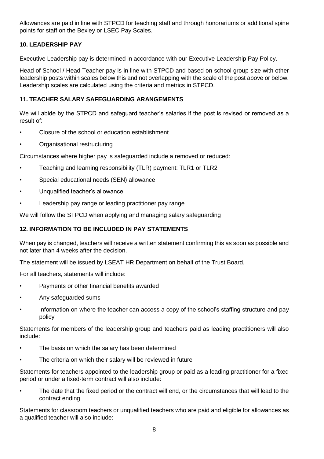Allowances are paid in line with STPCD for teaching staff and through honorariums or additional spine points for staff on the Bexley or LSEC Pay Scales.

## <span id="page-7-0"></span>**10. LEADERSHIP PAY**

Executive Leadership pay is determined in accordance with our Executive Leadership Pay Policy.

Head of School / Head Teacher pay is in line with STPCD and based on school group size with other leadership posts within scales below this and not overlapping with the scale of the post above or below. Leadership scales are calculated using the criteria and metrics in STPCD.

#### <span id="page-7-1"></span>**11. TEACHER SALARY SAFEGUARDING ARANGEMENTS**

We will abide by the STPCD and safeguard teacher's salaries if the post is revised or removed as a result of:

- Closure of the school or education establishment
- Organisational restructuring

Circumstances where higher pay is safeguarded include a removed or reduced:

- Teaching and learning responsibility (TLR) payment: TLR1 or TLR2
- Special educational needs (SEN) allowance
- Unqualified teacher's allowance
- Leadership pay range or leading practitioner pay range

We will follow the STPCD when applying and managing salary safeguarding

#### <span id="page-7-2"></span>**12. INFORMATION TO BE INCLUDED IN PAY STATEMENTS**

When pay is changed, teachers will receive a written statement confirming this as soon as possible and not later than 4 weeks after the decision.

The statement will be issued by LSEAT HR Department on behalf of the Trust Board.

For all teachers, statements will include:

- Payments or other financial benefits awarded
- Any safeguarded sums
- Information on where the teacher can access a copy of the school's staffing structure and pay policy

Statements for members of the leadership group and teachers paid as leading practitioners will also include:

- The basis on which the salary has been determined
- The criteria on which their salary will be reviewed in future

Statements for teachers appointed to the leadership group or paid as a leading practitioner for a fixed period or under a fixed-term contract will also include:

The date that the fixed period or the contract will end, or the circumstances that will lead to the contract ending

Statements for classroom teachers or unqualified teachers who are paid and eligible for allowances as a qualified teacher will also include: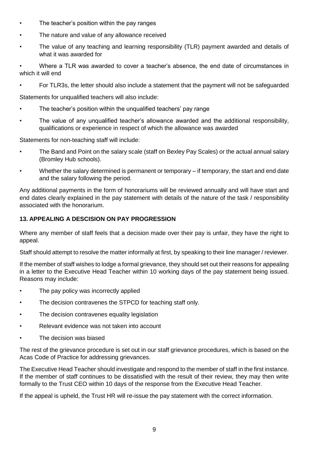- The teacher's position within the pay ranges
- The nature and value of any allowance received
- The value of any teaching and learning responsibility (TLR) payment awarded and details of what it was awarded for

• Where a TLR was awarded to cover a teacher's absence, the end date of circumstances in which it will end

• For TLR3s, the letter should also include a statement that the payment will not be safeguarded

Statements for unqualified teachers will also include:

- The teacher's position within the unqualified teachers' pay range
- The value of any unqualified teacher's allowance awarded and the additional responsibility, qualifications or experience in respect of which the allowance was awarded

Statements for non-teaching staff will include:

- The Band and Point on the salary scale (staff on Bexley Pay Scales) or the actual annual salary (Bromley Hub schools).
- Whether the salary determined is permanent or temporary if temporary, the start and end date and the salary following the period.

Any additional payments in the form of honorariums will be reviewed annually and will have start and end dates clearly explained in the pay statement with details of the nature of the task / responsibility associated with the honorarium.

#### <span id="page-8-0"></span>**13. APPEALING A DESCISION ON PAY PROGRESSION**

Where any member of staff feels that a decision made over their pay is unfair, they have the right to appeal.

Staff should attempt to resolve the matter informally at first, by speaking to their line manager / reviewer.

If the member of staff wishes to lodge a formal grievance, they should set out their reasons for appealing in a letter to the Executive Head Teacher within 10 working days of the pay statement being issued. Reasons may include:

- The pay policy was incorrectly applied
- The decision contravenes the STPCD for teaching staff only.
- The decision contravenes equality legislation
- Relevant evidence was not taken into account
- The decision was biased

The rest of the grievance procedure is set out in our staff grievance procedures, which is based on the Acas Code of Practice for addressing grievances.

The Executive Head Teacher should investigate and respond to the member of staff in the first instance. If the member of staff continues to be dissatisfied with the result of their review, they may then write formally to the Trust CEO within 10 days of the response from the Executive Head Teacher.

If the appeal is upheld, the Trust HR will re-issue the pay statement with the correct information.